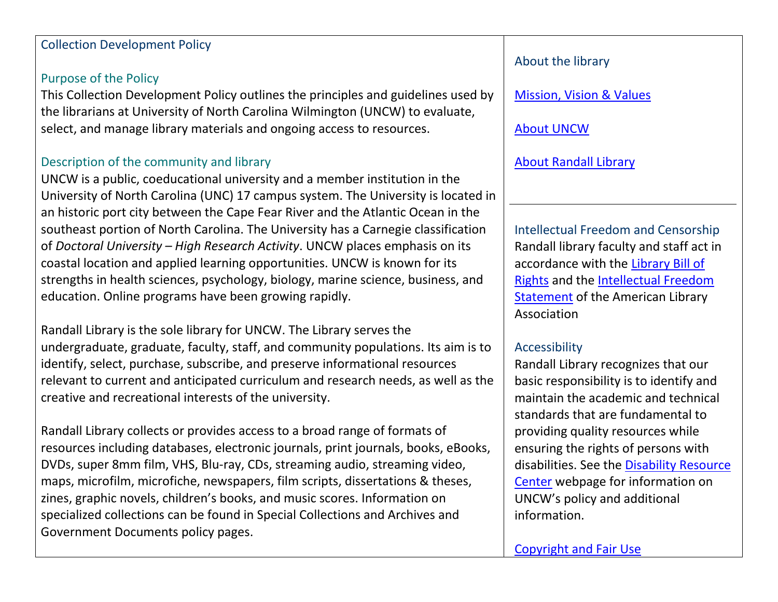#### Collection Development Policy

# Purpose of the Policy

This Collection Development Policy outlines the principles and guidelines used by the librarians at University of North Carolina Wilmington (UNCW) to evaluate, select, and manage library materials and ongoing access to resources.

# Description of the community and library

UNCW is a public, coeducational university and a member institution in the University of North Carolina (UNC) 17 campus system. The University is located in an historic port city between the Cape Fear River and the Atlantic Ocean in the southeast portion of North Carolina. The University has a Carnegie classification of *Doctoral University – High Research Activity*. UNCW places emphasis on its coastal location and applied learning opportunities. UNCW is known for its strengths in health sciences, psychology, biology, marine science, business, and education. Online programs have been growing rapidly.

Randall Library is the sole library for UNCW. The Library serves the undergraduate, graduate, faculty, staff, and community populations. Its aim is to identify, select, purchase, subscribe, and preserve informational resources relevant to current and anticipated curriculum and research needs, as well as the creative and recreational interests of the university.

Randall Library collects or provides access to a broad range of formats of resources including databases, electronic journals, print journals, books, eBooks, DVDs, super 8mm film, VHS, Blu-ray, CDs, streaming audio, streaming video, maps, microfilm, microfiche, newspapers, film scripts, dissertations & theses, zines, graphic novels, children's books, and music scores. Information on specialized collections can be found in Special Collections and Archives and Government Documents policy pages.

# About the library

[Mission, Vision & Values](https://library.uncw.edu/facts_planning/mission)

[About UNCW](https://www.uncw.edu/aboutuncw/)

[About Randall Library](https://library.uncw.edu/facts_planning)

Intellectual Freedom and Censorship Randall library faculty and staff act in accordance with the [Library Bill of](http://www.ala.org/advocacy/intfreedom/librarybill/interpretations/intellectual)  [Rights](http://www.ala.org/advocacy/intfreedom/librarybill/interpretations/intellectual) and the [Intellectual Freedom](http://www.ala.org/advocacy/intfreedom/librarybill/interpretations/intellectual)  [Statement](http://www.ala.org/advocacy/intfreedom/librarybill/interpretations/intellectual) of the American Library Association

# Accessibility

Randall Library recognizes that our basic responsibility is to identify and maintain the academic and technical standards that are fundamental to providing quality resources while ensuring the rights of persons with disabilities. See the [Disability Resource](http://uncw.edu/disability/)  [Center](http://uncw.edu/disability/) webpage for information on UNCW's policy and additional information.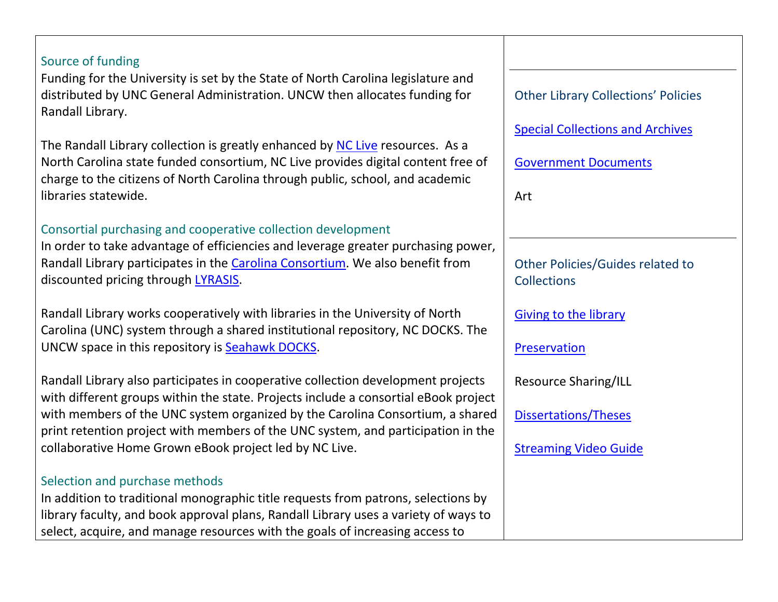# Source of funding

Funding for the University is set by the State of North Carolina legislature and distributed by UNC General Administration. UNCW then allocates funding for Randall Library.

The Randall Library collection is greatly enhanced by NC [Live](https://www-nclive-org.liblink.uncw.edu/) resources. As a North Carolina state funded consortium, NC Live provides digital content free of charge to the citizens of North Carolina through public, school, and academic libraries statewide.

# Consortial purchasing and cooperative collection development

In order to take advantage of efficiencies and leverage greater purchasing power, Randall Library participates in the [Carolina Consortium.](https://library.uncw.edu/facts_planning/consortium_membership) We also benefit from discounted pricing through [LYRASIS.](https://library.uncw.edu/facts_planning/consortium_membership)

Randall Library works cooperatively with libraries in the University of North Carolina (UNC) system through a shared institutional repository, NC DOCKS. The UNCW space in this repository is [Seahawk DOCKS.](http://libres.uncg.edu/ir/uncw/)

Randall Library also participates in cooperative collection development projects with different groups within the state. Projects include a consortial eBook project with members of the UNC system organized by the Carolina Consortium, a shared print retention project with members of the UNC system, and participation in the collaborative Home Grown eBook project led by NC Live.

#### Selection and purchase methods

In addition to traditional monographic title requests from patrons, selections by library faculty, and book approval plans, Randall Library uses a variety of ways to select, acquire, and manage resources with the goals of increasing access to

Other Library Collections' Policies [Special Collections and Archives](https://library.uncw.edu/policies/special_collections) [Government Documents](https://library.uncw.edu/policies/government_documents) Art Other Policies/Guides related to **Collections** Giving [to the library](https://library.uncw.edu/policies/gifts) [Preservation](https://library.uncw.edu/policies/preservation) Resource Sharing/ILL [Dissertations/Theses](https://library.uncw.edu/theses_dissertations) [Streaming Video Guide](https://library.uncw.edu/guides/streaming_video)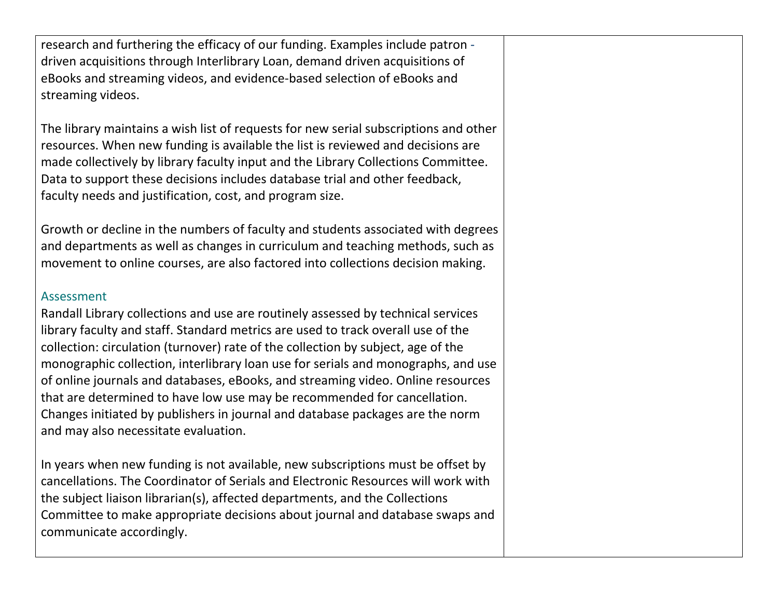| research and furthering the efficacy of our funding. Examples include patron -<br>driven acquisitions through Interlibrary Loan, demand driven acquisitions of<br>eBooks and streaming videos, and evidence-based selection of eBooks and<br>streaming videos.                                                                                                                                                                                                                                                                                                                                                                                             |  |
|------------------------------------------------------------------------------------------------------------------------------------------------------------------------------------------------------------------------------------------------------------------------------------------------------------------------------------------------------------------------------------------------------------------------------------------------------------------------------------------------------------------------------------------------------------------------------------------------------------------------------------------------------------|--|
| The library maintains a wish list of requests for new serial subscriptions and other<br>resources. When new funding is available the list is reviewed and decisions are<br>made collectively by library faculty input and the Library Collections Committee.<br>Data to support these decisions includes database trial and other feedback,<br>faculty needs and justification, cost, and program size.                                                                                                                                                                                                                                                    |  |
| Growth or decline in the numbers of faculty and students associated with degrees<br>and departments as well as changes in curriculum and teaching methods, such as<br>movement to online courses, are also factored into collections decision making.                                                                                                                                                                                                                                                                                                                                                                                                      |  |
| <b>Assessment</b><br>Randall Library collections and use are routinely assessed by technical services<br>library faculty and staff. Standard metrics are used to track overall use of the<br>collection: circulation (turnover) rate of the collection by subject, age of the<br>monographic collection, interlibrary loan use for serials and monographs, and use<br>of online journals and databases, eBooks, and streaming video. Online resources<br>that are determined to have low use may be recommended for cancellation.<br>Changes initiated by publishers in journal and database packages are the norm<br>and may also necessitate evaluation. |  |
| In years when new funding is not available, new subscriptions must be offset by<br>cancellations. The Coordinator of Serials and Electronic Resources will work with<br>the subject liaison librarian(s), affected departments, and the Collections<br>Committee to make appropriate decisions about journal and database swaps and<br>communicate accordingly                                                                                                                                                                                                                                                                                             |  |

communicate accordingly.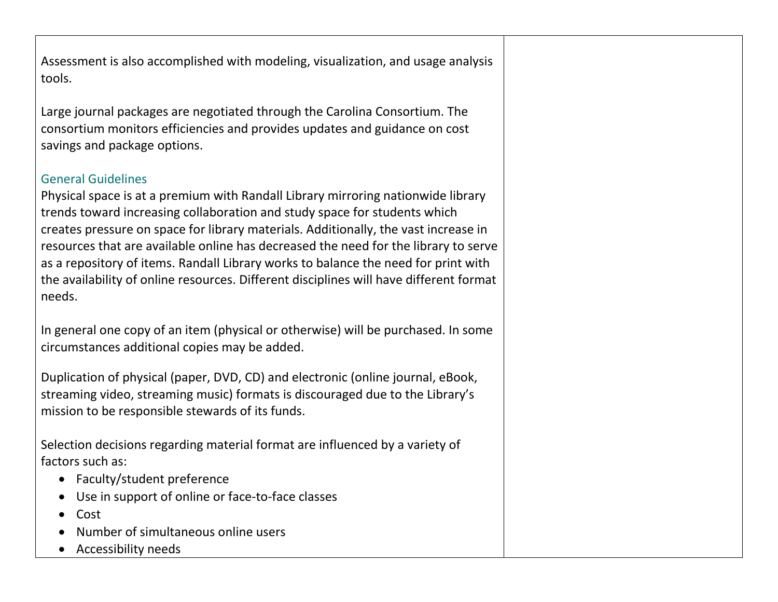Assessment is also accomplished with modeling, visualization, and usage analysis tools.

Large journal packages are negotiated through the Carolina Consortium. The consortium monitors efficiencies and provides updates and guidance on cost savings and package options.

# General Guidelines

Physical space is at a premium with Randall Library mirroring nationwide library trends toward increasing collaboration and study space for students which creates pressure on space for library materials. Additionally, the vast increase in resources that are available online has decreased the need for the library to serve as a repository of items. Randall Library works to balance the need for print with the availability of online resources. Different disciplines will have different format needs.

In general one copy of an item (physical or otherwise) will be purchased. In some circumstances additional copies may be added.

Duplication of physical (paper, DVD, CD) and electronic (online journal, eBook, streaming video, streaming music) formats is discouraged due to the Library's mission to be responsible stewards of its funds.

Selection decisions regarding material format are influenced by a variety of factors such as:

- Faculty/student preference
- Use in support of online or face-to-face classes
- Cost
- Number of simultaneous online users
- Accessibility needs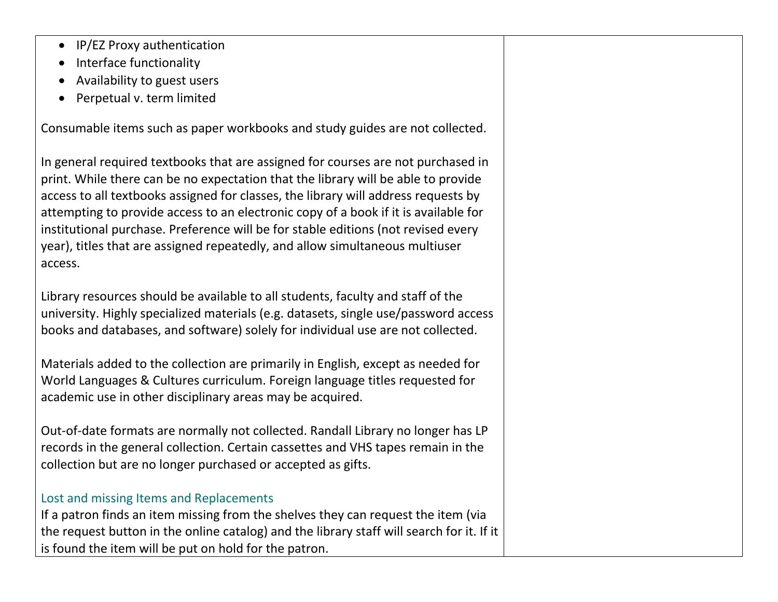- IP/EZ Proxy authentication
- Interface functionality
- Availability to guest users
- Perpetual v. term limited

Consumable items such as paper workbooks and study guides are not collected.

In general required textbooks that are assigned for courses are not purchased in print. While there can be no expectation that the library will be able to provide access to all textbooks assigned for classes, the library will address requests by attempting to provide access to an electronic copy of a book if it is available for institutional purchase. Preference will be for stable editions (not revised every year), titles that are assigned repeatedly, and allow simultaneous multiuser access.

Library resources should be available to all students, faculty and staff of the university. Highly specialized materials (e.g. datasets, single use/password access books and databases, and software) solely for individual use are not collected.

Materials added to the collection are primarily in English, except as needed for World Languages & Cultures curriculum. Foreign language titles requested for academic use in other disciplinary areas may be acquired.

Out-of-date formats are normally not collected. Randall Library no longer has LP records in the general collection. Certain cassettes and VHS tapes remain in the collection but are no longer purchased or accepted as gifts.

#### Lost and missing Items and Replacements

If a patron finds an item missing from the shelves they can request the item (via the request button in the online catalog) and the library staff will search for it. If it is found the item will be put on hold for the patron.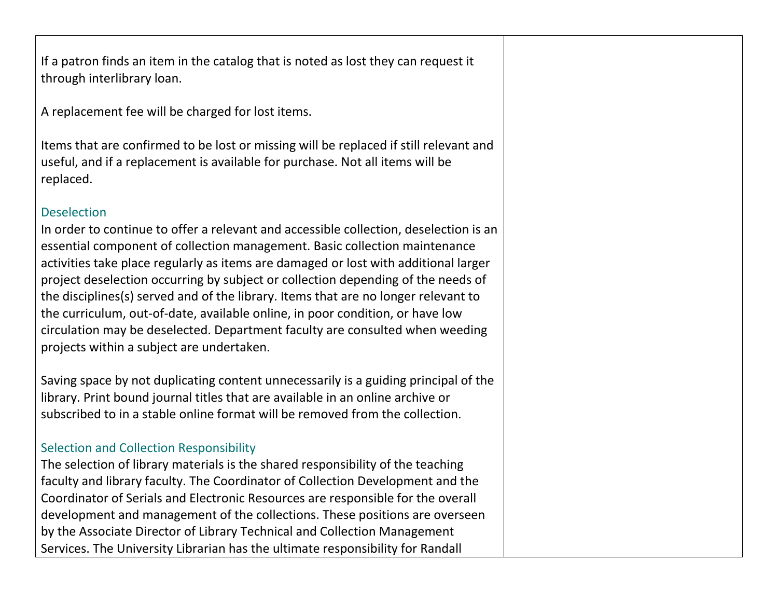If a patron finds an item in the catalog that is noted as lost they can request it through interlibrary loan.

A replacement fee will be charged for lost items.

Items that are confirmed to be lost or missing will be replaced if still relevant and useful, and if a replacement is available for purchase. Not all items will be replaced.

#### **Deselection**

In order to continue to offer a relevant and accessible collection, deselection is an essential component of collection management. Basic collection maintenance activities take place regularly as items are damaged or lost with additional larger project deselection occurring by subject or collection depending of the needs of the disciplines(s) served and of the library. Items that are no longer relevant to the curriculum, out-of-date, available online, in poor condition, or have low circulation may be deselected. Department faculty are consulted when weeding projects within a subject are undertaken.

Saving space by not duplicating content unnecessarily is a guiding principal of the library. Print bound journal titles that are available in an online archive or subscribed to in a stable online format will be removed from the collection.

# Selection and Collection Responsibility

The selection of library materials is the shared responsibility of the teaching faculty and library faculty. The Coordinator of Collection Development and the Coordinator of Serials and Electronic Resources are responsible for the overall development and management of the collections. These positions are overseen by the Associate Director of Library Technical and Collection Management Services. The University Librarian has the ultimate responsibility for Randall